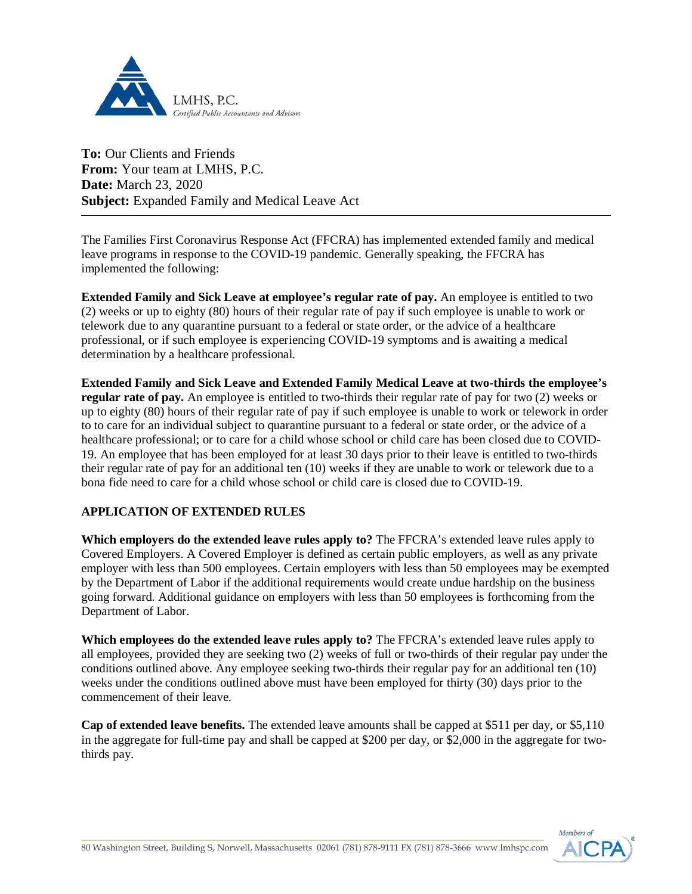

**To:** Our Clients and Friends **From:** Your team at LMHS, P.C. **Date:** March 23, 2020 **Subject:** Expanded Family and Medical Leave Act

The Families First Coronavirus Response Act (FFCRA) has implemented extended family and medical leave programs in response to the COVID-19 pandemic. Generally speaking, the FFCRA has implemented the following:

**Extended Family and Sick Leave at employee's regular rate of pay.** An employee is entitled to two (2) weeks or up to eighty (80) hours of their regular rate of pay if such employee is unable to work or telework due to any quarantine pursuant to a federal or state order, or the advice of a healthcare professional, or if such employee is experiencing COVID-19 symptoms and is awaiting a medical determination by a healthcare professional.

**Extended Family and Sick Leave and Extended Family Medical Leave at two-thirds the employee's regular rate of pay.** An employee is entitled to two-thirds their regular rate of pay for two (2) weeks or up to eighty (80) hours of their regular rate of pay if such employee is unable to work or telework in order to to care for an individual subject to quarantine pursuant to a federal or state order, or the advice of a healthcare professional; or to care for a child whose school or child care has been closed due to COVID-19. An employee that has been employed for at least 30 days prior to their leave is entitled to two-thirds their regular rate of pay for an additional ten (10) weeks if they are unable to work or telework due to a bona fide need to care for a child whose school or child care is closed due to COVID-19.

## **APPLICATION OF EXTENDED RULES**

**Which employers do the extended leave rules apply to?** The FFCRA's extended leave rules apply to Covered Employers. A Covered Employer is defined as certain public employers, as well as any private employer with less than 500 employees. Certain employers with less than 50 employees may be exempted by the Department of Labor if the additional requirements would create undue hardship on the business going forward. Additional guidance on employers with less than 50 employees is forthcoming from the Department of Labor.

**Which employees do the extended leave rules apply to?** The FFCRA's extended leave rules apply to all employees, provided they are seeking two (2) weeks of full or two-thirds of their regular pay under the conditions outlined above. Any employee seeking two-thirds their regular pay for an additional ten (10) weeks under the conditions outlined above must have been employed for thirty (30) days prior to the commencement of their leave.

**Cap of extended leave benefits.** The extended leave amounts shall be capped at \$511 per day, or \$5,110 in the aggregate for full-time pay and shall be capped at \$200 per day, or \$2,000 in the aggregate for twothirds pay.